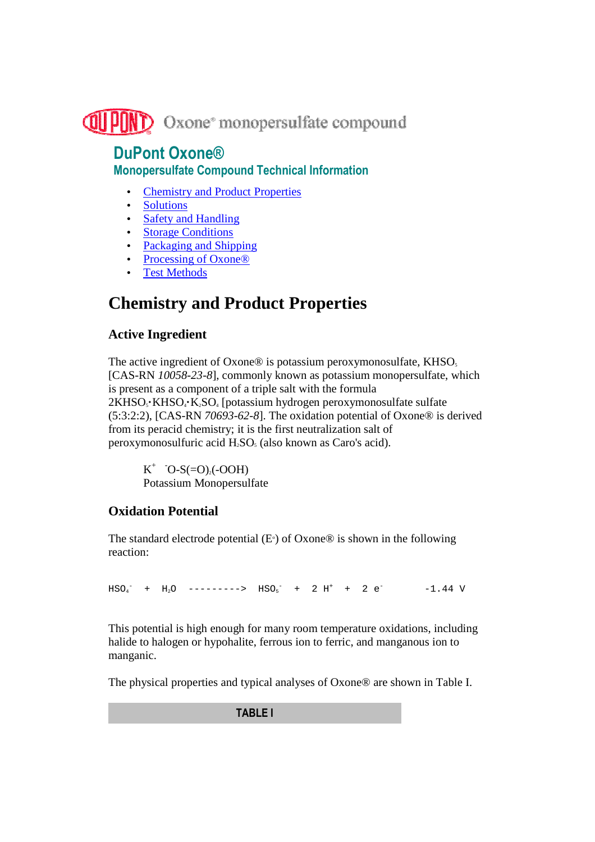

### **DuPont Oxone® Monopersulfate Compound Technical Information**

- Chemistry and Product Properties
- Solutions
- Safety and Handling
- Storage Conditions
- Packaging and Shipping
- Processing of Oxone<sup>®</sup>
- **Test Methods**

# **Chemistry and Product Properties**

### **Active Ingredient**

The active ingredient of Oxone® is potassium peroxymonosulfate,  $KHSO<sub>5</sub>$ [CAS-RN *10058-23-8*], commonly known as potassium monopersulfate, which is present as a component of a triple salt with the formula 2KHSO<sub>3</sub>·KHSO<sub>4</sub>·K<sub>2</sub>SO<sub>4</sub> [potassium hydrogen peroxymonosulfate sulfate (5:3:2:2), [CAS-RN *70693-62-8*]. The oxidation potential of Oxone® is derived from its peracid chemistry; it is the first neutralization salt of peroxymonosulfuric acid  $H_2SO_5$  (also known as Caro's acid).

 $K^+$  <sup>-</sup>O-S(=O)<sub>2</sub>(-OOH) Potassium Monopersulfate

### **Oxidation Potential**

The standard electrode potential  $(E)$  of Oxone® is shown in the following reaction:

 $HSO_4^-$  +  $H_2O$  -------->  $HSO_5^-$  + 2  $H^+$  + 2  $e^-$  -1.44 V

This potential is high enough for many room temperature oxidations, including halide to halogen or hypohalite, ferrous ion to ferric, and manganous ion to manganic.

The physical properties and typical analyses of Oxone® are shown in Table I.

**TABLE I**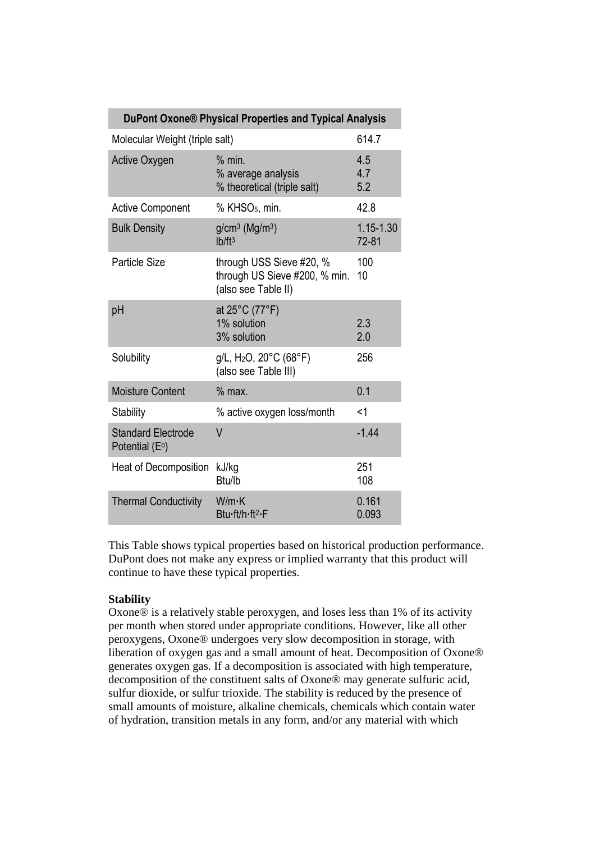| DuPont Oxone® Physical Properties and Typical Analysis   |                                                                                     |                        |  |  |  |
|----------------------------------------------------------|-------------------------------------------------------------------------------------|------------------------|--|--|--|
| Molecular Weight (triple salt)                           | 614.7                                                                               |                        |  |  |  |
| Active Oxygen                                            | % min.<br>% average analysis<br>% theoretical (triple salt)                         | 4.5<br>4.7<br>5.2      |  |  |  |
| <b>Active Component</b>                                  | % KHSO <sub>5</sub> , min.                                                          | 42.8                   |  |  |  |
| <b>Bulk Density</b>                                      | $g/cm^3$ (Mg/m <sup>3</sup> )<br>Ib/ft <sup>3</sup>                                 | 1.15-1.30<br>$72 - 81$ |  |  |  |
| <b>Particle Size</b>                                     | through USS Sieve #20, %<br>through US Sieve #200, % min.<br>(also see Table II)    | 100<br>10              |  |  |  |
| pH                                                       | at 25°C (77°F)<br>1% solution<br>3% solution                                        | 2.3<br>2.0             |  |  |  |
| Solubility                                               | $g/L$ , H <sub>2</sub> O, 20 $^{\circ}$ C (68 $^{\circ}$ F)<br>(also see Table III) | 256                    |  |  |  |
| <b>Moisture Content</b>                                  | $%$ max.                                                                            | 0.1                    |  |  |  |
| <b>Stability</b>                                         | % active oxygen loss/month                                                          | $<$ 1                  |  |  |  |
| <b>Standard Electrode</b><br>Potential (E <sup>o</sup> ) | V                                                                                   | $-1.44$                |  |  |  |
| Heat of Decomposition                                    | kJ/kg<br>Btu/lb                                                                     | 251<br>108             |  |  |  |
| <b>Thermal Conductivity</b>                              | W/m·K<br>Btu-ft/h-ft <sup>2</sup> -F                                                | 0.161<br>0.093         |  |  |  |

This Table shows typical properties based on historical production performance. DuPont does not make any express or implied warranty that this product will continue to have these typical properties.

#### **Stability**

Oxone® is a relatively stable peroxygen, and loses less than 1% of its activity per month when stored under appropriate conditions. However, like all other peroxygens, Oxone® undergoes very slow decomposition in storage, with liberation of oxygen gas and a small amount of heat. Decomposition of Oxone® generates oxygen gas. If a decomposition is associated with high temperature, decomposition of the constituent salts of Oxone® may generate sulfuric acid, sulfur dioxide, or sulfur trioxide. The stability is reduced by the presence of small amounts of moisture, alkaline chemicals, chemicals which contain water of hydration, transition metals in any form, and/or any material with which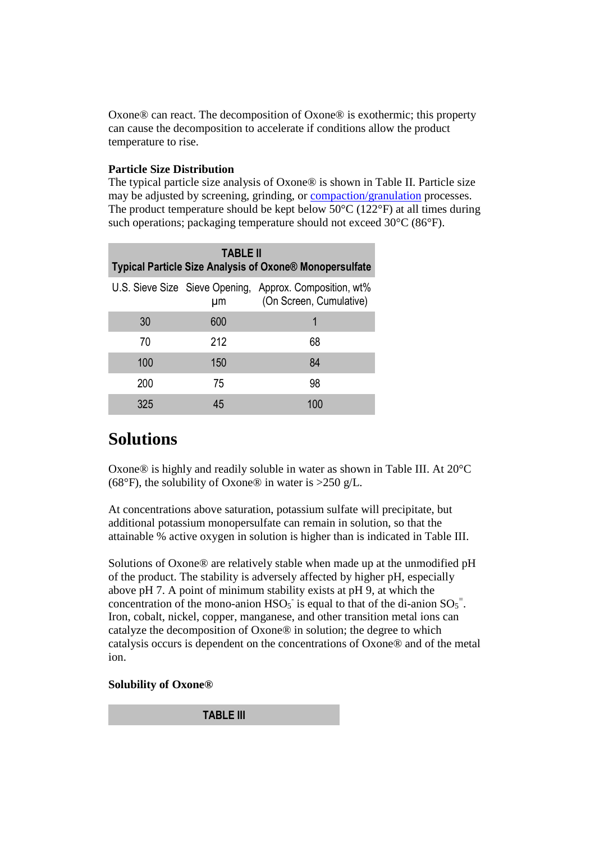Oxone® can react. The decomposition of Oxone® is exothermic; this property can cause the decomposition to accelerate if conditions allow the product temperature to rise.

#### **Particle Size Distribution**

The typical particle size analysis of Oxone® is shown in Table II. Particle size may be adjusted by screening, grinding, or compaction/granulation processes. The product temperature should be kept below  $50^{\circ}$ C (122 $^{\circ}$ F) at all times during such operations; packaging temperature should not exceed 30°C (86°F).

| <b>TABLE II</b><br>Typical Particle Size Analysis of Oxone® Monopersulfate |     |                                                                                    |  |  |  |
|----------------------------------------------------------------------------|-----|------------------------------------------------------------------------------------|--|--|--|
|                                                                            | μm  | U.S. Sieve Size Sieve Opening, Approx. Composition, wt%<br>(On Screen, Cumulative) |  |  |  |
| 30                                                                         | 600 | 1                                                                                  |  |  |  |
| 70                                                                         | 212 | 68                                                                                 |  |  |  |
| 100                                                                        | 150 | 84                                                                                 |  |  |  |
| 200                                                                        | 75  | 98                                                                                 |  |  |  |
| 325                                                                        | 45  | 100                                                                                |  |  |  |

### **Solutions**

Oxone® is highly and readily soluble in water as shown in Table III. At 20°C (68°F), the solubility of Oxone® in water is >250 g/L.

At concentrations above saturation, potassium sulfate will precipitate, but additional potassium monopersulfate can remain in solution, so that the attainable % active oxygen in solution is higher than is indicated in Table III.

Solutions of Oxone® are relatively stable when made up at the unmodified pH of the product. The stability is adversely affected by higher pH, especially above pH 7. A point of minimum stability exists at pH 9, at which the concentration of the mono-anion  $HSO<sub>5</sub>$  is equal to that of the di-anion  $SO<sub>5</sub><sup>=</sup>$ . Iron, cobalt, nickel, copper, manganese, and other transition metal ions can catalyze the decomposition of Oxone® in solution; the degree to which catalysis occurs is dependent on the concentrations of Oxone® and of the metal ion.

#### **Solubility of Oxone®**

**TABLE III**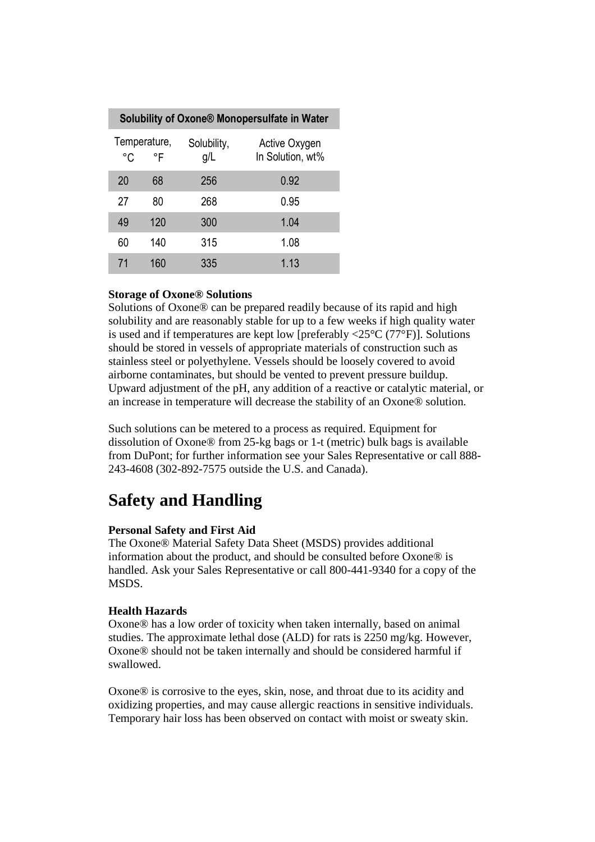| Solubility of Oxone® Monopersulfate in Water |                    |                    |                                   |  |  |
|----------------------------------------------|--------------------|--------------------|-----------------------------------|--|--|
| °C                                           | Temperature,<br>°F | Solubility,<br>g/L | Active Oxygen<br>In Solution, wt% |  |  |
| 20                                           | 68                 | 256                | 0.92                              |  |  |
| 27                                           | 80                 | 268                | 0.95                              |  |  |
| 49                                           | 120                | 300                | 1.04                              |  |  |
| 60                                           | 140                | 315                | 1.08                              |  |  |
| 71                                           | 160                | 335                | 1.13                              |  |  |

#### **Storage of Oxone® Solutions**

Solutions of Oxone® can be prepared readily because of its rapid and high solubility and are reasonably stable for up to a few weeks if high quality water is used and if temperatures are kept low [preferably  $\langle 25^{\circ}$ C (77 $^{\circ}$ F)]. Solutions should be stored in vessels of appropriate materials of construction such as stainless steel or polyethylene. Vessels should be loosely covered to avoid airborne contaminates, but should be vented to prevent pressure buildup. Upward adjustment of the pH, any addition of a reactive or catalytic material, or an increase in temperature will decrease the stability of an Oxone® solution.

Such solutions can be metered to a process as required. Equipment for dissolution of Oxone® from 25-kg bags or 1-t (metric) bulk bags is available from DuPont; for further information see your Sales Representative or call 888- 243-4608 (302-892-7575 outside the U.S. and Canada).

## **Safety and Handling**

#### **Personal Safety and First Aid**

The Oxone® Material Safety Data Sheet (MSDS) provides additional information about the product, and should be consulted before Oxone® is handled. Ask your Sales Representative or call 800-441-9340 for a copy of the MSDS.

#### **Health Hazards**

Oxone® has a low order of toxicity when taken internally, based on animal studies. The approximate lethal dose (ALD) for rats is 2250 mg/kg. However, Oxone® should not be taken internally and should be considered harmful if swallowed.

Oxone® is corrosive to the eyes, skin, nose, and throat due to its acidity and oxidizing properties, and may cause allergic reactions in sensitive individuals. Temporary hair loss has been observed on contact with moist or sweaty skin.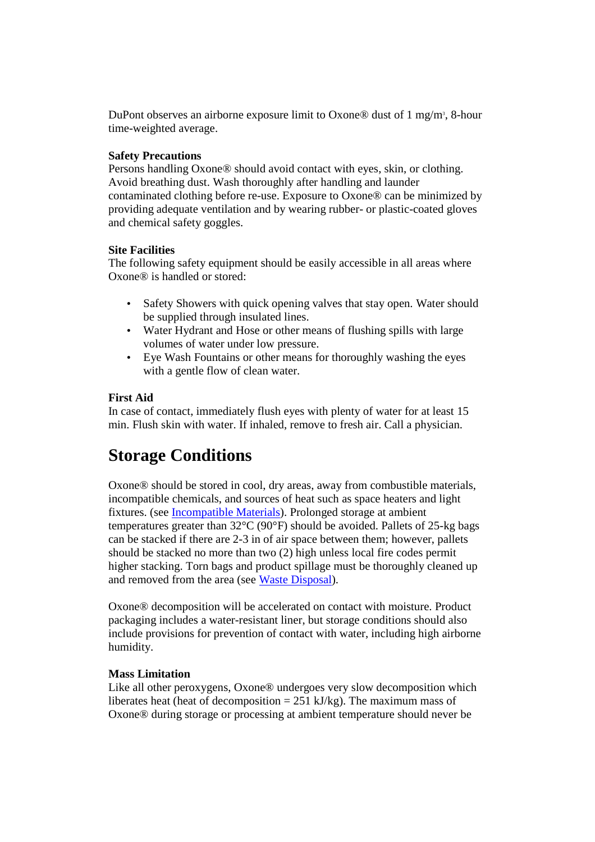DuPont observes an airborne exposure limit to Oxone® dust of 1 mg/m<sup>3</sup>, 8-hour time-weighted average.

#### **Safety Precautions**

Persons handling Oxone® should avoid contact with eyes, skin, or clothing. Avoid breathing dust. Wash thoroughly after handling and launder contaminated clothing before re-use. Exposure to Oxone® can be minimized by providing adequate ventilation and by wearing rubber- or plastic-coated gloves and chemical safety goggles.

#### **Site Facilities**

The following safety equipment should be easily accessible in all areas where Oxone® is handled or stored:

- Safety Showers with quick opening valves that stay open. Water should be supplied through insulated lines.
- Water Hydrant and Hose or other means of flushing spills with large volumes of water under low pressure.
- Eye Wash Fountains or other means for thoroughly washing the eyes with a gentle flow of clean water.

#### **First Aid**

In case of contact, immediately flush eyes with plenty of water for at least 15 min. Flush skin with water. If inhaled, remove to fresh air. Call a physician.

## **Storage Conditions**

Oxone® should be stored in cool, dry areas, away from combustible materials, incompatible chemicals, and sources of heat such as space heaters and light fixtures. (see Incompatible Materials). Prolonged storage at ambient temperatures greater than 32°C (90°F) should be avoided. Pallets of 25-kg bags can be stacked if there are 2-3 in of air space between them; however, pallets should be stacked no more than two (2) high unless local fire codes permit higher stacking. Torn bags and product spillage must be thoroughly cleaned up and removed from the area (see Waste Disposal).

Oxone® decomposition will be accelerated on contact with moisture. Product packaging includes a water-resistant liner, but storage conditions should also include provisions for prevention of contact with water, including high airborne humidity.

#### **Mass Limitation**

Like all other peroxygens, Oxone® undergoes very slow decomposition which liberates heat (heat of decomposition  $= 251 \text{ kJ/kg}$ ). The maximum mass of Oxone® during storage or processing at ambient temperature should never be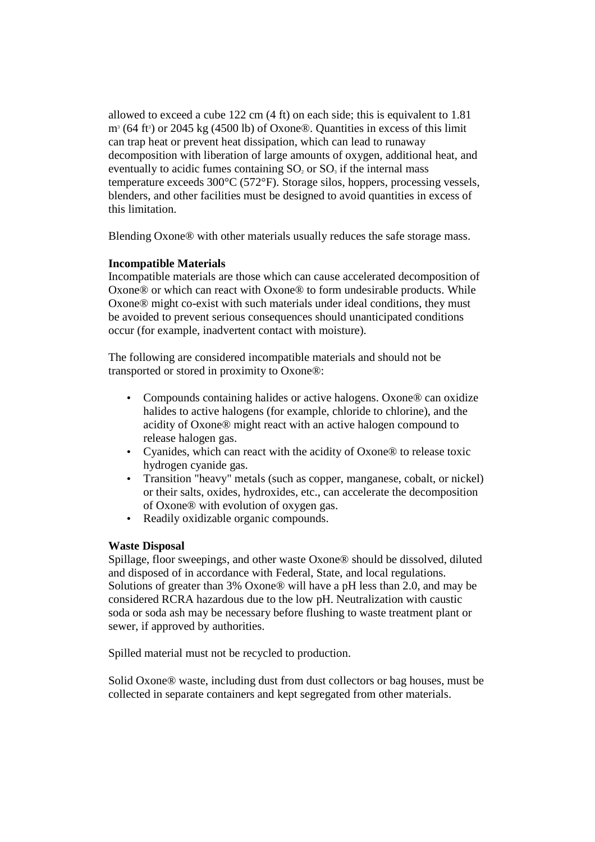allowed to exceed a cube 122 cm (4 ft) on each side; this is equivalent to 1.81  $m^3$  (64 ft<sup>3</sup>) or 2045 kg (4500 lb) of Oxone®. Quantities in excess of this limit can trap heat or prevent heat dissipation, which can lead to runaway decomposition with liberation of large amounts of oxygen, additional heat, and eventually to acidic fumes containing  $SO<sub>2</sub>$  or  $SO<sub>3</sub>$  if the internal mass temperature exceeds 300°C (572°F). Storage silos, hoppers, processing vessels, blenders, and other facilities must be designed to avoid quantities in excess of this limitation.

Blending Oxone® with other materials usually reduces the safe storage mass.

#### **Incompatible Materials**

Incompatible materials are those which can cause accelerated decomposition of Oxone® or which can react with Oxone® to form undesirable products. While Oxone® might co-exist with such materials under ideal conditions, they must be avoided to prevent serious consequences should unanticipated conditions occur (for example, inadvertent contact with moisture).

The following are considered incompatible materials and should not be transported or stored in proximity to Oxone®:

- Compounds containing halides or active halogens. Oxone<sup>®</sup> can oxidize halides to active halogens (for example, chloride to chlorine), and the acidity of Oxone® might react with an active halogen compound to release halogen gas.
- Cyanides, which can react with the acidity of Oxone® to release toxic hydrogen cyanide gas.
- Transition "heavy" metals (such as copper, manganese, cobalt, or nickel) or their salts, oxides, hydroxides, etc., can accelerate the decomposition of Oxone® with evolution of oxygen gas.
- Readily oxidizable organic compounds.

#### **Waste Disposal**

Spillage, floor sweepings, and other waste Oxone® should be dissolved, diluted and disposed of in accordance with Federal, State, and local regulations. Solutions of greater than 3% Oxone® will have a pH less than 2.0, and may be considered RCRA hazardous due to the low pH. Neutralization with caustic soda or soda ash may be necessary before flushing to waste treatment plant or sewer, if approved by authorities.

Spilled material must not be recycled to production.

Solid Oxone® waste, including dust from dust collectors or bag houses, must be collected in separate containers and kept segregated from other materials.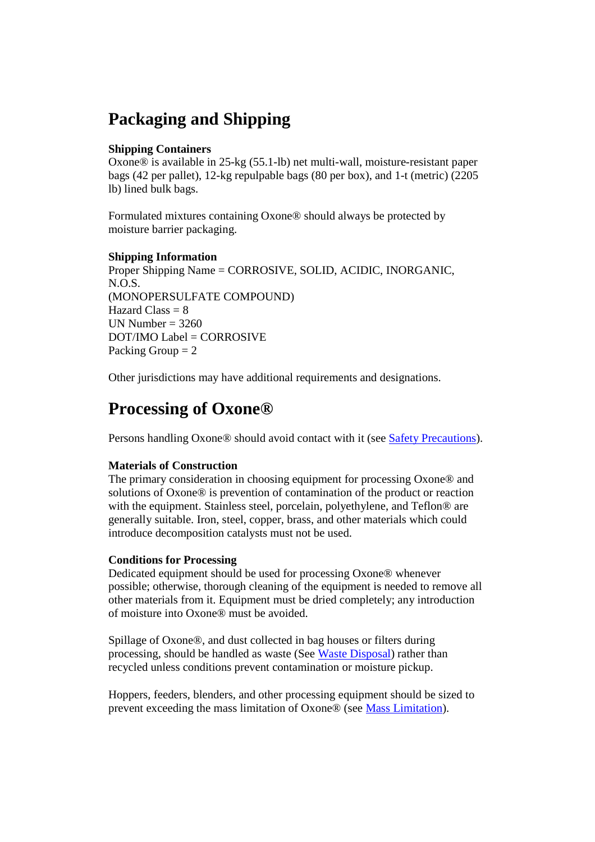## **Packaging and Shipping**

#### **Shipping Containers**

Oxone® is available in 25-kg (55.1-lb) net multi-wall, moisture-resistant paper bags (42 per pallet), 12-kg repulpable bags (80 per box), and 1-t (metric) (2205 lb) lined bulk bags.

Formulated mixtures containing Oxone® should always be protected by moisture barrier packaging.

#### **Shipping Information**

Proper Shipping Name = CORROSIVE, SOLID, ACIDIC, INORGANIC, N.O.S. (MONOPERSULFATE COMPOUND) Hazard Class  $= 8$ UN Number  $= 3260$ DOT/IMO Label = CORROSIVE Packing Group  $= 2$ 

Other jurisdictions may have additional requirements and designations.

### **Processing of Oxone®**

Persons handling Oxone® should avoid contact with it (see Safety Precautions).

#### **Materials of Construction**

The primary consideration in choosing equipment for processing Oxone® and solutions of Oxone® is prevention of contamination of the product or reaction with the equipment. Stainless steel, porcelain, polyethylene, and Teflon® are generally suitable. Iron, steel, copper, brass, and other materials which could introduce decomposition catalysts must not be used.

#### **Conditions for Processing**

Dedicated equipment should be used for processing Oxone® whenever possible; otherwise, thorough cleaning of the equipment is needed to remove all other materials from it. Equipment must be dried completely; any introduction of moisture into Oxone® must be avoided.

Spillage of Oxone®, and dust collected in bag houses or filters during processing, should be handled as waste (See Waste Disposal) rather than recycled unless conditions prevent contamination or moisture pickup.

Hoppers, feeders, blenders, and other processing equipment should be sized to prevent exceeding the mass limitation of Oxone® (see Mass Limitation).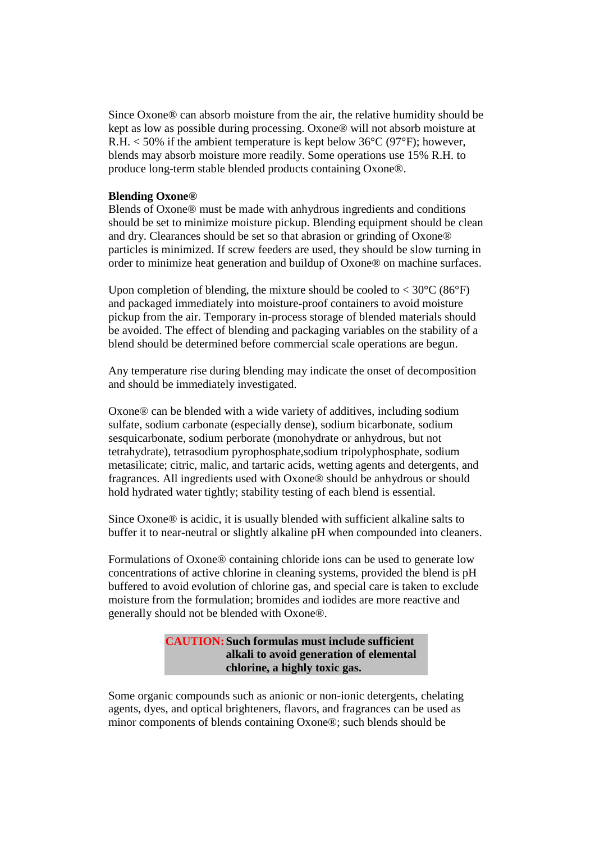Since Oxone® can absorb moisture from the air, the relative humidity should be kept as low as possible during processing. Oxone® will not absorb moisture at R.H. < 50% if the ambient temperature is kept below 36°C (97°F); however, blends may absorb moisture more readily. Some operations use 15% R.H. to produce long-term stable blended products containing Oxone®.

#### **Blending Oxone®**

Blends of Oxone® must be made with anhydrous ingredients and conditions should be set to minimize moisture pickup. Blending equipment should be clean and dry. Clearances should be set so that abrasion or grinding of Oxone® particles is minimized. If screw feeders are used, they should be slow turning in order to minimize heat generation and buildup of Oxone® on machine surfaces.

Upon completion of blending, the mixture should be cooled to  $< 30^{\circ}$ C (86 $^{\circ}$ F) and packaged immediately into moisture-proof containers to avoid moisture pickup from the air. Temporary in-process storage of blended materials should be avoided. The effect of blending and packaging variables on the stability of a blend should be determined before commercial scale operations are begun.

Any temperature rise during blending may indicate the onset of decomposition and should be immediately investigated.

Oxone® can be blended with a wide variety of additives, including sodium sulfate, sodium carbonate (especially dense), sodium bicarbonate, sodium sesquicarbonate, sodium perborate (monohydrate or anhydrous, but not tetrahydrate), tetrasodium pyrophosphate,sodium tripolyphosphate, sodium metasilicate; citric, malic, and tartaric acids, wetting agents and detergents, and fragrances. All ingredients used with Oxone® should be anhydrous or should hold hydrated water tightly; stability testing of each blend is essential.

Since Oxone® is acidic, it is usually blended with sufficient alkaline salts to buffer it to near-neutral or slightly alkaline pH when compounded into cleaners.

Formulations of Oxone® containing chloride ions can be used to generate low concentrations of active chlorine in cleaning systems, provided the blend is pH buffered to avoid evolution of chlorine gas, and special care is taken to exclude moisture from the formulation; bromides and iodides are more reactive and generally should not be blended with Oxone®.

#### **CAUTION:Such formulas must include sufficient alkali to avoid generation of elemental chlorine, a highly toxic gas.**

Some organic compounds such as anionic or non-ionic detergents, chelating agents, dyes, and optical brighteners, flavors, and fragrances can be used as minor components of blends containing Oxone®; such blends should be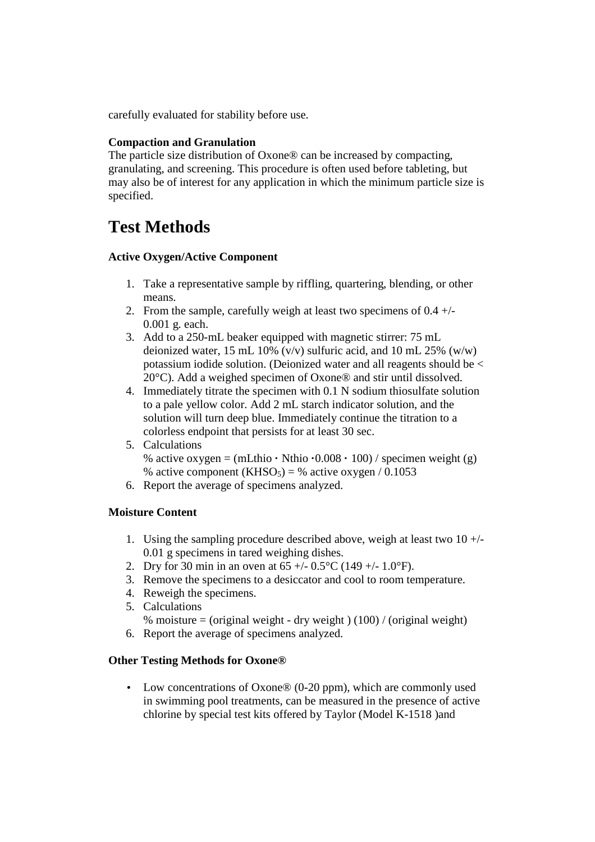carefully evaluated for stability before use.

#### **Compaction and Granulation**

The particle size distribution of Oxone® can be increased by compacting, granulating, and screening. This procedure is often used before tableting, but may also be of interest for any application in which the minimum particle size is specified.

## **Test Methods**

#### **Active Oxygen/Active Component**

- 1. Take a representative sample by riffling, quartering, blending, or other means.
- 2. From the sample, carefully weigh at least two specimens of  $0.4 +/-$ 0.001 g. each.
- 3. Add to a 250-mL beaker equipped with magnetic stirrer: 75 mL deionized water, 15 mL 10% (v/v) sulfuric acid, and 10 mL 25% (w/w) potassium iodide solution. (Deionized water and all reagents should be < 20°C). Add a weighed specimen of Oxone® and stir until dissolved.
- 4. Immediately titrate the specimen with 0.1 N sodium thiosulfate solution to a pale yellow color. Add 2 mL starch indicator solution, and the solution will turn deep blue. Immediately continue the titration to a colorless endpoint that persists for at least 30 sec.
- 5. Calculations % active oxygen =  $(mLthio \cdot Nthio \cdot 0.008 \cdot 100)$  / specimen weight (g) % active component (KHSO<sub>5</sub>) = % active oxygen / 0.1053
- 6. Report the average of specimens analyzed.

#### **Moisture Content**

- 1. Using the sampling procedure described above, weigh at least two  $10 +/-$ 0.01 g specimens in tared weighing dishes.
- 2. Dry for 30 min in an oven at  $65 + (-0.5^{\circ}C)(149 + (-1.0^{\circ}F))$ .
- 3. Remove the specimens to a desiccator and cool to room temperature.
- 4. Reweigh the specimens.
- 5. Calculations % moisture = (original weight - dry weight )  $(100)$  / (original weight)
- 6. Report the average of specimens analyzed.

#### **Other Testing Methods for Oxone®**

• Low concentrations of Oxone<sup>®</sup> (0-20 ppm), which are commonly used in swimming pool treatments, can be measured in the presence of active chlorine by special test kits offered by Taylor (Model K-1518 )and